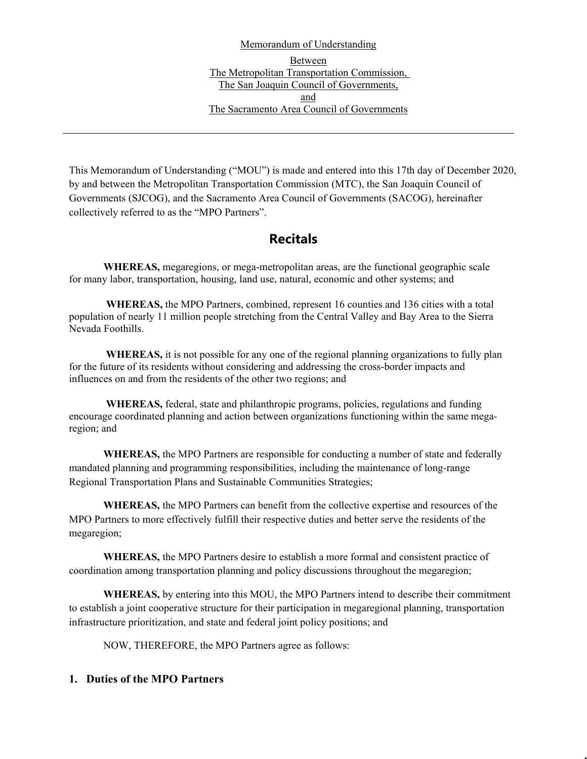Memorandum of Understanding Between The Metropolitan Transportation Commission, The San Joaquin Council of Governments, and The Sacramento Area Council of Governments

This Memorandum of Understanding ("MOU") is made and entered into this 17th day of December 2020, by and between the Metropolitan Transportation Commission (MTC), the San Joaquin Council of Governments (SJCOG), and the Sacramento Area Council of Governments (SACOG), hereinafter collectively referred to as the "MPO Partners".

## **Recitals**

**WHEREAS,** megaregions, or mega-metropolitan areas, are the functional geographic scale for many labor, transportation, housing, land use, natural, economic and other systems; and

**WHEREAS,** the MPO Partners, combined, represent 16 counties and 136 cities with a total population of nearly 11 million people stretching from the Central Valley and Bay Area to the Sierra Nevada Foothills.

**WHEREAS,** it is not possible for any one of the regional planning organizations to fully plan for the future of its residents without considering and addressing the cross-border impacts and influences on and from the residents of the other two regions; and

**WHEREAS,** federal, state and philanthropic programs, policies, regulations and funding encourage coordinated planning and action between organizations functioning within the same megaregion; and

**WHEREAS,** the MPO Partners are responsible for conducting a number of state and federally mandated planning and programming responsibilities, including the maintenance of long-range Regional Transportation Plans and Sustainable Communities Strategies;

**WHEREAS,** the MPO Partners can benefit from the collective expertise and resources of the MPO Partners to more effectively fulfill their respective duties and better serve the residents of the megaregion;

**WHEREAS,** the MPO Partners desire to establish a more formal and consistent practice of coordination among transportation planning and policy discussions throughout the megaregion;

**WHEREAS,** by entering into this MOU, the MPO Partners intend to describe their commitment to establish a joint cooperative structure for their participation in megaregional planning, transportation infrastructure prioritization, and state and federal joint policy positions; and

NOW, THEREFORE, the MPO Partners agree as follows:

## **1. Duties of the MPO Partners**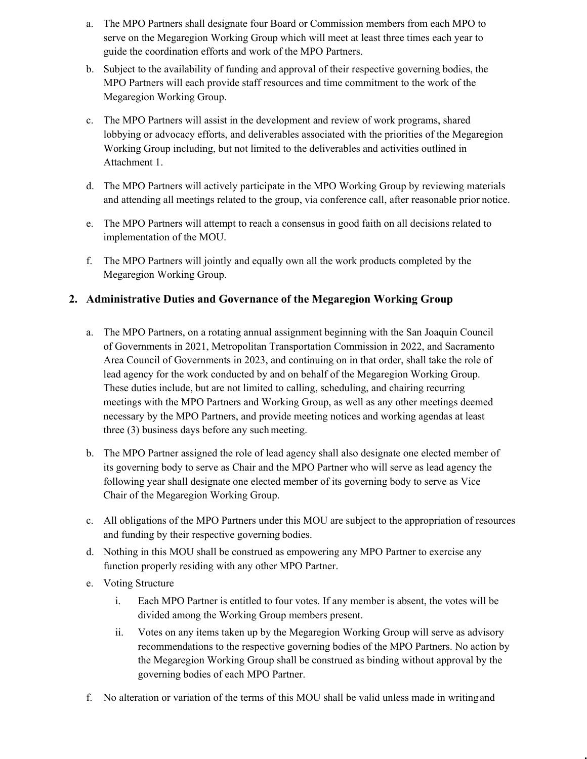- a. The MPO Partners shall designate four Board or Commission members from each MPO to serve on the Megaregion Working Group which will meet at least three times each year to guide the coordination efforts and work of the MPO Partners.
- b. Subject to the availability of funding and approval of their respective governing bodies, the MPO Partners will each provide staff resources and time commitment to the work of the Megaregion Working Group.
- c. The MPO Partners will assist in the development and review of work programs, shared lobbying or advocacy efforts, and deliverables associated with the priorities of the Megaregion Working Group including, but not limited to the deliverables and activities outlined in Attachment 1.
- d. The MPO Partners will actively participate in the MPO Working Group by reviewing materials and attending all meetings related to the group, via conference call, after reasonable prior notice.
- e. The MPO Partners will attempt to reach a consensus in good faith on all decisions related to implementation of the MOU.
- f. The MPO Partners will jointly and equally own all the work products completed by the Megaregion Working Group.

## **2. Administrative Duties and Governance of the Megaregion Working Group**

- a. The MPO Partners, on a rotating annual assignment beginning with the San Joaquin Council of Governments in 2021, Metropolitan Transportation Commission in 2022, and Sacramento Area Council of Governments in 2023, and continuing on in that order, shall take the role of lead agency for the work conducted by and on behalf of the Megaregion Working Group. These duties include, but are not limited to calling, scheduling, and chairing recurring meetings with the MPO Partners and Working Group, as well as any other meetings deemed necessary by the MPO Partners, and provide meeting notices and working agendas at least three (3) business days before any such meeting.
- b. The MPO Partner assigned the role of lead agency shall also designate one elected member of its governing body to serve as Chair and the MPO Partner who will serve as lead agency the following year shall designate one elected member of its governing body to serve as Vice Chair of the Megaregion Working Group.
- c. All obligations of the MPO Partners under this MOU are subject to the appropriation of resources and funding by their respective governing bodies.
- d. Nothing in this MOU shall be construed as empowering any MPO Partner to exercise any function properly residing with any other MPO Partner.
- e. Voting Structure
	- i. Each MPO Partner is entitled to four votes. If any member is absent, the votes will be divided among the Working Group members present.
	- ii. Votes on any items taken up by the Megaregion Working Group will serve as advisory recommendations to the respective governing bodies of the MPO Partners. No action by the Megaregion Working Group shall be construed as binding without approval by the governing bodies of each MPO Partner.
- f. No alteration or variation of the terms of this MOU shall be valid unless made in writingand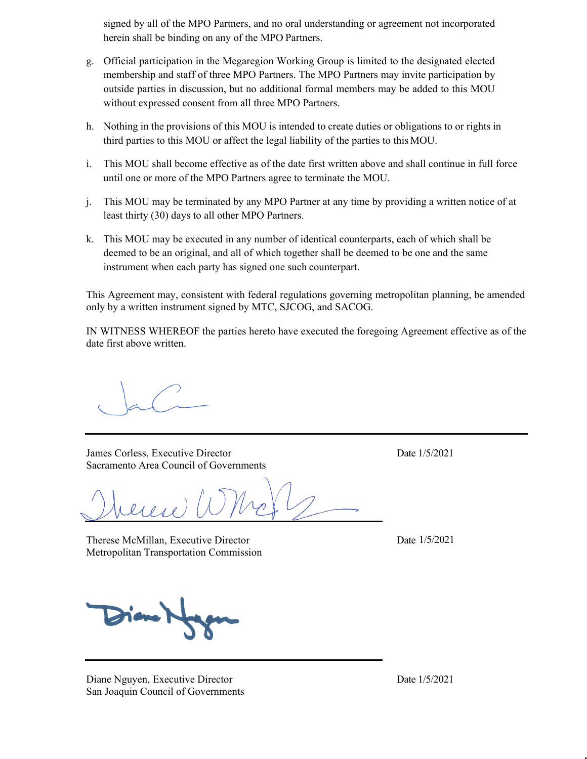signed by all of the MPO Partners, and no oral understanding or agreement not incorporated herein shall be binding on any of the MPO Partners.

- g. Official participation in the Megaregion Working Group is limited to the designated elected membership and staff of three MPO Partners. The MPO Partners may invite participation by outside parties in discussion, but no additional formal members may be added to this MOU without expressed consent from all three MPO Partners.
- h. Nothing in the provisions of this MOU is intended to create duties or obligations to or rights in third parties to this MOU or affect the legal liability of the parties to this MOU.
- i. This MOU shall become effective as of the date first written above and shall continue in full force until one or more of the MPO Partners agree to terminate the MOU.
- j. This MOU may be terminated by any MPO Partner at any time by providing a written notice of at least thirty (30) days to all other MPO Partners.
- k. This MOU may be executed in any number of identical counterparts, each of which shall be deemed to be an original, and all of which together shall be deemed to be one and the same instrument when each party has signed one such counterpart.

This Agreement may, consistent with federal regulations governing metropolitan planning, be amended only by a written instrument signed by MTC, SJCOG, and SACOG.

IN WITNESS WHEREOF the parties hereto have executed the foregoing Agreement effective as of the date first above written.

James Corless, Executive Director Date 1/5/2021 Sacramento Area Council of Governments

Therese McMillan, Executive Director Metropolitan Transportation Commission

Date  $1/5/2021$ 

Diane Nguyen, Executive Director Date 1/5/2021 San Joaquin Council of Governments